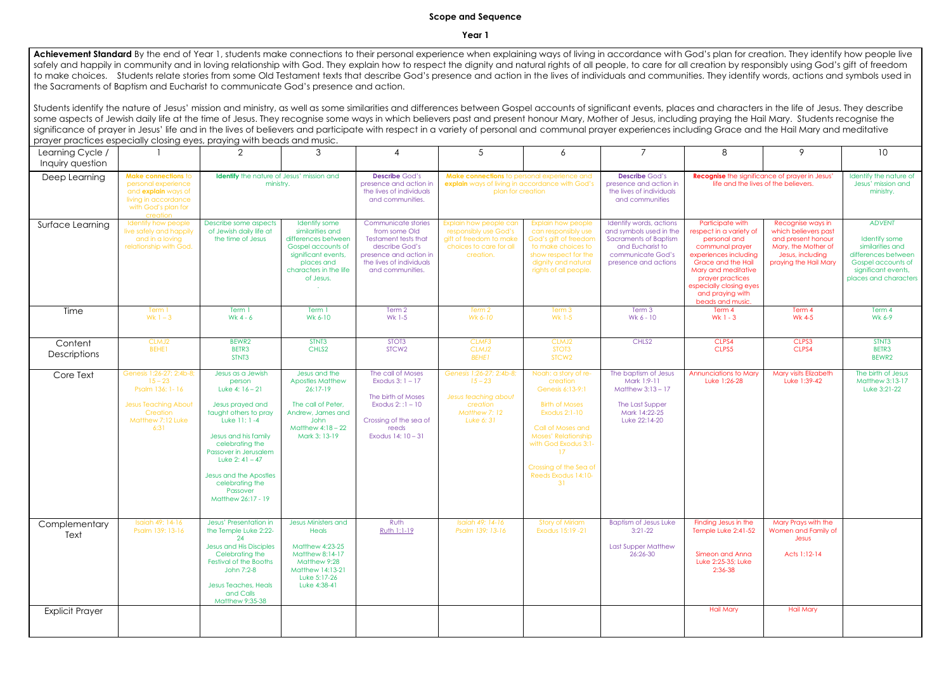## **Scope and Sequence**

**Year 1**

Achievement Standard By the end of Year 1, students make connections to their personal experience when explaining ways of living in accordance with God's plan for creation. They identify how people live safely and happily in community and in loving relationship with God. They explain how to respect the dignity and natural rights of all people, to care for all creation by responsibly using God's gift of freedom to make choices. Students relate stories from some Old Testament texts that describe God's presence and action in the lives of individuals and communities. They identify words, actions and symbols used in the Sacraments of Baptism and Eucharist to communicate God's presence and action.

Students identify the nature of Jesus' mission and ministry, as well as some similarities and differences between Gospel accounts of significant events, places and characters in the life of Jesus. They describe some aspects of Jewish daily life at the time of Jesus. They recognise some ways in which believers past and present honour Mary, Mother of Jesus, including praying the Hail Mary. Students recognise the significance of prayer in Jesus' life and in the lives of believers and participate with respect in a variety of personal and communal prayer experiences including Grace and the Hail Mary and meditative prayer practices especially closing eyes, praying with beads and music.

| prayer praenees especially closing eyes, praying win rocaas and mosic. |                                                                                                                                     |                                                                                                                                                                                                                                                                                       |                                                                                                                                                            |                                                                                                                                                          |                                                                                                                     |                                                                                                                                                                                                                                               |                                                                                                                                                     |                                                                                                                                                                                                                                             |                                                                                                                                     |                                                                                                                                                 |
|------------------------------------------------------------------------|-------------------------------------------------------------------------------------------------------------------------------------|---------------------------------------------------------------------------------------------------------------------------------------------------------------------------------------------------------------------------------------------------------------------------------------|------------------------------------------------------------------------------------------------------------------------------------------------------------|----------------------------------------------------------------------------------------------------------------------------------------------------------|---------------------------------------------------------------------------------------------------------------------|-----------------------------------------------------------------------------------------------------------------------------------------------------------------------------------------------------------------------------------------------|-----------------------------------------------------------------------------------------------------------------------------------------------------|---------------------------------------------------------------------------------------------------------------------------------------------------------------------------------------------------------------------------------------------|-------------------------------------------------------------------------------------------------------------------------------------|-------------------------------------------------------------------------------------------------------------------------------------------------|
| Learning Cycle /<br>Inquiry question                                   |                                                                                                                                     | $\overline{2}$                                                                                                                                                                                                                                                                        | 3                                                                                                                                                          |                                                                                                                                                          | 5                                                                                                                   | 6                                                                                                                                                                                                                                             | $\overline{7}$                                                                                                                                      | 8                                                                                                                                                                                                                                           | 9                                                                                                                                   | 10                                                                                                                                              |
| Deep Learning                                                          | Make connections to<br>personal experience<br>and <b>explain</b> ways of<br>living in accordance<br>with God's plan for<br>creation | <b>Identify</b> the nature of Jesus' mission and<br>ministry.                                                                                                                                                                                                                         |                                                                                                                                                            | <b>Describe God's</b><br>presence and action in<br>the lives of individuals<br>and communities.                                                          | Make connections to personal experience and<br>explain ways of living in accordance with God's<br>plan for creation |                                                                                                                                                                                                                                               | <b>Describe God's</b><br>presence and action in<br>the lives of individuals<br>and communities                                                      |                                                                                                                                                                                                                                             | <b>Recognise</b> the significance of prayer in Jesus'<br>life and the lives of the believers.                                       | Identify the nature of<br>Jesus' mission and<br>ministry.                                                                                       |
| Surface Learning                                                       | Identify how people<br>live safely and happily<br>and in a loving<br>relationship with God.                                         | Describe some aspects<br>of Jewish daily life at<br>the time of Jesus                                                                                                                                                                                                                 | Identify some<br>similarities and<br>differences between<br>Gospel accounts of<br>significant events,<br>places and<br>characters in the life<br>of Jesus. | Communicate stories<br>from some Old<br>Testament tests that<br>describe God's<br>presence and action in<br>the lives of individuals<br>and communities. | Explain how people can<br>responsibly use God's<br>gift of freedom to make<br>choices to care for all<br>creation.  | <b>Explain how people</b><br>can responsibly use<br>God's gift of freedom<br>to make choices to<br>show respect for the<br>dignity and natural<br>rights of all people.                                                                       | Identify words, actions<br>and symbols used in the<br><b>Sacraments of Baptism</b><br>and Eucharist to<br>communicate God's<br>presence and actions | Participate with<br>respect in a variety of<br>personal and<br>communal prayer<br>experiences including<br>Grace and the Hail<br>Mary and meditative<br>prayer practices<br>especially closing eyes<br>and praying with<br>beads and music. | Recognise ways in<br>which believers past<br>and present honour<br>Mary, the Mother of<br>Jesus, including<br>praying the Hail Mary | <b>ADVENT</b><br>Identify some<br>similarities and<br>differences between<br>Gospel accounts of<br>significant events,<br>places and characters |
| Time                                                                   | Term 1<br>Wk $1 - 3$                                                                                                                | Term 1<br>Wk 4 - $6$                                                                                                                                                                                                                                                                  | Term 1<br>Wk 6-10                                                                                                                                          | Term 2<br>Wk 1-5                                                                                                                                         | Term 2<br>Wk 6-10                                                                                                   | Term 3<br>Wk 1-5                                                                                                                                                                                                                              | Term 3<br>Wk 6 - 10                                                                                                                                 | Term 4<br>Wk $1 - 3$                                                                                                                                                                                                                        | Term 4<br>Wk 4-5                                                                                                                    | Term 4<br>Wk 6-9                                                                                                                                |
| Content<br><b>Descriptions</b>                                         | CLMJ2<br>BEHE1                                                                                                                      | BEWR2<br>BETR3<br>STNT3                                                                                                                                                                                                                                                               | STNT3<br>CHLS <sub>2</sub>                                                                                                                                 | STOT <sub>3</sub><br>STCW <sub>2</sub>                                                                                                                   | CLMF3<br>CLMJ2<br><b>BEHE1</b>                                                                                      | CLMJ2<br>STOT <sub>3</sub><br>STCW <sub>2</sub>                                                                                                                                                                                               | CHLS2                                                                                                                                               | CLPS4<br>CLPS5                                                                                                                                                                                                                              | CLPS3<br>CLPS4                                                                                                                      | STNT3<br>BETR3<br>BEWR2                                                                                                                         |
| Core Text                                                              | Genesis 1:26-27; 2:4b-8;<br>$15 - 23$<br>Psalm 136: 1-16<br><b>Jesus Teaching About</b><br>Creation<br>Matthew 7:12 Luke<br>6:31    | Jesus as a Jewish<br>person<br>Luke 4: $16 - 21$<br>Jesus prayed and<br>taught others to pray<br>Luke 11: 1-4<br>Jesus and his family<br>celebrating the<br>Passover in Jerusalem<br>Luke $2: 41 - 47$<br>Jesus and the Apostles<br>celebrating the<br>Passover<br>Matthew 26:17 - 19 | Jesus and the<br><b>Apostles Matthew</b><br>$26:17-19$<br>The call of Peter,<br>Andrew, James and<br>John<br>Matthew $4:18-22$<br>Mark 3: 13-19            | The call of Moses<br>Exodus $3:1 - 17$<br>The birth of Moses<br>Exodus $2:1 - 10$<br>Crossing of the sea of<br>reeds<br>Exodus 14: 10 - 31               | Genesis 1:26-27; 2:4b-8;<br>$15 - 23$<br>Jesus teaching about<br>creation<br>Matthew 7: 12<br>Luke 6: 31            | Noah: a story of re-<br>creation<br>Genesis 6:13-9:1<br><b>Birth of Moses</b><br><b>Exodus 2:1-10</b><br>Call of Moses and<br><b>Moses' Relationship</b><br>with God Exodus 3:1-<br>17<br>Crossing of the Sea of<br>Reeds Exodus 14:10-<br>31 | The baptism of Jesus<br>Mark 1:9-11<br>Matthew $3:13-17$<br>The Last Supper<br>Mark 14:22-25<br>Luke 22:14-20                                       | <b>Annunciations to Mary</b><br>Luke 1:26-28                                                                                                                                                                                                | Mary visits Elizabeth<br>Luke 1:39-42                                                                                               | The birth of Jesus<br>Matthew 3:13-17<br>Luke 3:21-22                                                                                           |
| Complementary<br>Text                                                  | Isaiah 49: 14-16<br>Psalm 139: 13-16                                                                                                | Jesus' Presentation in<br>the Temple Luke 2:22-<br>24<br>Jesus and His Disciples<br>Celebrating the<br><b>Festival of the Booths</b><br>John 7:2-8<br>Jesus Teaches, Heals<br>and Calls                                                                                               | <b>Jesus Ministers and</b><br>Heals<br><b>Matthew 4:23-25</b><br>Matthew 8:14-17<br>Matthew 9:28<br>Matthew 14:13-21<br>Luke 5:17-26<br>Luke 4:38-41       | Ruth<br>Ruth 1:1-19                                                                                                                                      | Isaiah 49: 14-16<br>Psalm 139: 13-16                                                                                | <b>Story of Miriam</b><br>Exodus 15:19 -21                                                                                                                                                                                                    | <b>Baptism of Jesus Luke</b><br>$3:21-22$<br><b>Last Supper Matthew</b><br>26:26-30                                                                 | Finding Jesus in the<br>Temple Luke 2:41-52<br>Simeon and Anna<br>Luke 2:25-35; Luke<br>2:36-38                                                                                                                                             | Mary Prays with the<br>Women and Family of<br>Jesus<br>Acts 1:12-14                                                                 |                                                                                                                                                 |
| <b>Explicit Prayer</b>                                                 |                                                                                                                                     | Matthew 9:35-38                                                                                                                                                                                                                                                                       |                                                                                                                                                            |                                                                                                                                                          |                                                                                                                     |                                                                                                                                                                                                                                               |                                                                                                                                                     | <b>Hail Mary</b>                                                                                                                                                                                                                            | <b>Hail Mary</b>                                                                                                                    |                                                                                                                                                 |